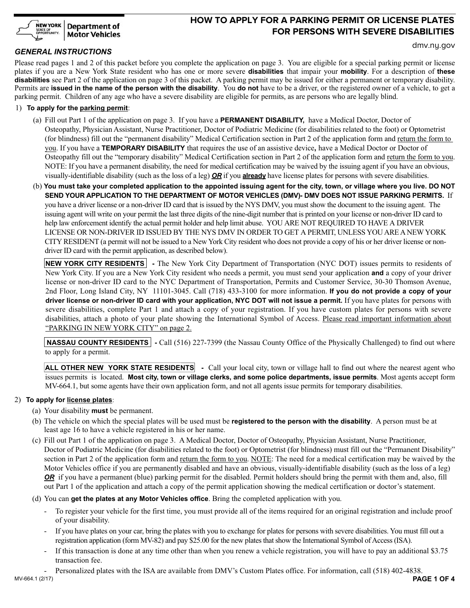

# **HOW TO APPLY FOR A PARKING PERMIT OR LICENSE PLATES FOR PERSONS WITH SEVERE DISABILITIES**

### *GENERAL INSTRUCTIONS*

dmv.ny.gov

Please read pages 1 and 2 of this packet before you complete the application on page 3. You are eligible for a special parking permit or license plates if you are a New York State resident who has one or more severe **disabilities** that impair your **mobility**. For a description of **these disabilities** see Part 2 of the application on page 3 of this packet. A parking permit may be issued for either a permanent or temporary disability. Permits are **issued in the name of the person with the disability**. You **do not** have to be a driver, or the registered owner of a vehicle, to get a parking permit. Children of any age who have a severe disability are eligible for permits, as are persons who are legally blind.

#### 1) **To apply for the parking permit**:

- (a) Fill out Part 1 of the application on page 3. If you have a **PERMANENT DISABILITY,** have a Medical Doctor, Doctor of Osteopathy, Physician Assistant, Nurse Practitioner, Doctor of Podiatric Medicine (for disabilities related to the foot) or Optometrist (for blindness) fill out the "permanent disability" Medical Certification section in Part 2 of the application form and return the form to you. If you have a **TEMPORARY DISABILITY** that requires the use of an assistive device**,** have a Medical Doctor or Doctor of Osteopathy fill out the "temporary disability" Medical Certification section in Part 2 of the application form and return the form to you. NOTE: If you have a permanent disability, the need for medical certification may be waived by the issuing agent if you have an obvious, visually-identifiable disability (such as the loss of a leg) *OR* if you **already** have license plates for persons with severe disabilities.
- (b) **You must take your completed application to the appointed issuing agent for the city, town, or village where you live. DO NOT SEND YOUR APPLICATION TO THE DEPARTMENT OF MOTOR VEHICLES (DMV)- DMV DOES NOT ISSUE PARKING PERMITS.** If you have a driver license or a non-driver ID card that is issued by the NYS DMV, you must show the document to the issuing agent. The issuing agent will write on your permit the last three digits of the nine-digit number that is printed on your license or non-driver ID card to help law enforcement identify the actual permit holder and help limit abuse. YOU ARE NOT REQUIRED TO HAVE A DRIVER LICENSE OR NON-DRIVER ID ISSUED BY THE NYS DMV IN ORDER TO GET A PERMIT, UNLESS YOU ARE A NEW YORK CITY RESIDENT (a permit will not be issued to a New York City resident who does not provide a copy of his or her driver license or non driver ID card with the permit application, as described below).

**NEW YORK CITY RESIDENTS** - The New York City Department of Transportation (NYC DOT) issues permits to residents of New York City. If you are a New York City resident who needs a permit, you must send your application **and** a copy of your driver license or non-driver ID card to the NYC Department of Transportation, Permits and Customer Service, 30-30 Thomson Avenue, 2nd Floor, Long Island City, NY 11101-3045. Call (718) 433-3100 for more information. **If you do not provide a copy of your driver license or non-driver ID card with your application, NYC DOT will not issue a permit.** If you have plates for persons with severe disabilities, complete Part 1 and attach a copy of your registration. If you have custom plates for persons with severe disabilities, attach a photo of your plate showing the International Symbol of Access. Please read important information about "PARKING IN NEW YORK CITY" on page 2.

**NASSAU COUNTY RESIDENTS** - Call (516) 227-7399 (the Nassau County Office of the Physically Challenged) to find out where to apply for a permit.

**ALL OTHER NEW YORK STATE RESIDENTS** - Call your local city, town or village hall to find out where the nearest agent who issues permits is located. **Most city, town or village clerks, and some police departments, issue permits**. Most agents accept form MV-664.1, but some agents have their own application form, and not all agents issue permits for temporary disabilities.

#### 2) **To apply for license plates**:

- (a) Your disability **must** be permanent.
- (b) The vehicle on which the special plates will be used must be **registered to the person with the disability**. A person must be at least age 16 to have a vehicle registered in his or her name.
- (c) Fill out Part 1 of the application on page 3. A Medical Doctor, Doctor of Osteopathy, Physician Assistant, Nurse Practitioner, Doctor of Podiatric Medicine (for disabilities related to the foot) or Optometrist (for blindness) must fill out the "Permanent Disability" section in Part 2 of the application form and return the form to you. NOTE: The need for a medical certification may be waived by the Motor Vehicles office if you are permanently disabled and have an obvious, visually-identifiable disability (such as the loss of a leg) *OR* if you have a permanent (blue) parking permit for the disabled. Permit holders should bring the permit with them and, also, fill out Part 1 of the application and attach a copy of the permit application showing the medical certification or doctor's statement.
- (d) You can **get the plates at any Motor Vehicles office**. Bring the completed application with you.
	- To register your vehicle for the first time, you must provide all of the items required for an original registration and include proof of your disability.
	- If you have plates on your car, bring the plates with you to exchange for plates for persons with severe disabilities. You must fill out a registration application (form MV-82) and pay \$25.00 for the new plates that show the International Symbol of Access (ISA).
	- If this transaction is done at any time other than when you renew a vehicle registration, you will have to pay an additional \$3.75 transaction fee.
- Personalized plates with the ISA are available from DMV's Custom Plates office. For information, call (518) 402-4838.<br>**PAGE 1 OF 4**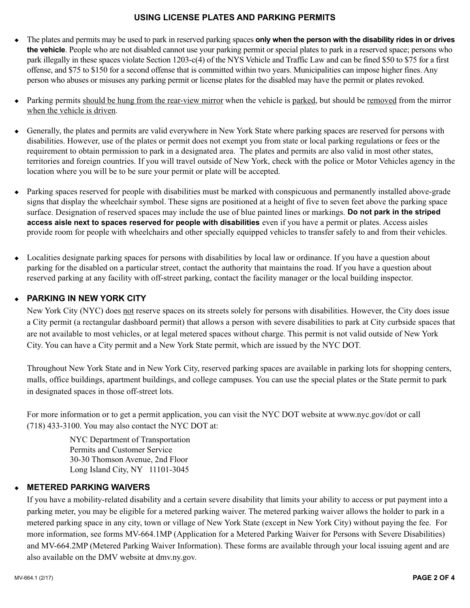## **USING LICENSE PLATES AND PARKING PERMITS**

- <sup>u</sup>The plates and permits may be used to park in reserved parking spaces **only when the person with the disability rides in or drives the vehicle**. People who are not disabled cannot use your parking permit or special plates to park in a reserved space; persons who park illegally in these spaces violate Section 1203-c(4) of the NYS Vehicle and Traffic Law and can be fined \$50 to \$75 for a first offense, and \$75 to \$150 for a second offense that is committed within two years. Municipalities can impose higher fines. Any person who abuses or misuses any parking permit or license plates for the disabled may have the permit or plates revoked.
- ◆ Parking permits should be hung from the rear-view mirror when the vehicle is parked, but should be removed from the mirror when the vehicle is driven.
- <sup>u</sup>Generally, the plates and permits are valid everywhere in New York State where parking spaces are reserved for persons with disabilities. However, use of the plates or permit does not exempt you from state or local parking regulations or fees or the requirement to obtain permission to park in a designated area. The plates and permits are also valid in most other states, territories and foreign countries. If you will travel outside of New York, check with the police or Motor Vehicles agency in the location where you will be to be sure your permit or plate will be accepted.
- $\bullet$  Parking spaces reserved for people with disabilities must be marked with conspicuous and permanently installed above-grade signs that display the wheelchair symbol. These signs are positioned at a height of five to seven feet above the parking space surface. Designation of reserved spaces may include the use of blue painted lines or markings. **Do not park in the striped access aisle next to spaces reserved for people with disabilities** even if you have a permit or plates. Access aisles provide room for people with wheelchairs and other specially equipped vehicles to transfer safely to and from their vehicles.
- $\bullet$  Localities designate parking spaces for persons with disabilities by local law or ordinance. If you have a question about parking for the disabled on a particular street, contact the authority that maintains the road. If you have a question about reserved parking at any facility with off-street parking, contact the facility manager or the local building inspector.

## **EXARKING IN NEW YORK CITY**

 New York City (NYC) does not reserve spaces on its streets solely for persons with disabilities. However, the City does issue a City permit (a rectangular dashboard permit) that allows a person with severe disabilities to park at City curbside spaces that are not available to most vehicles, or at legal metered spaces without charge. This permit is not valid outside of New York City. You can have a City permit and a New York State permit, which are issued by the NYC DOT.

 Throughout New York State and in New York City, reserved parking spaces are available in parking lots for shopping centers, malls, office buildings, apartment buildings, and college campuses. You can use the special plates or the State permit to park in designated spaces in those off-street lots.

 For more information or to get a permit application, you can visit the NYC DOT website at www.nyc.gov/dot or call (718) 433-3100. You may also contact the NYC DOT at:

> NYC Department of Transportation Permits and Customer Service 30-30 Thomson Avenue, 2nd Floor Long Island City, NY 11101-3045

## <sup>u</sup>**METERED PARKING WAIVERS**

 If you have a mobility-related disability and a certain severe disability that limits your ability to access or put payment into a parking meter, you may be eligible for a metered parking waiver. The metered parking waiver allows the holder to park in a metered parking space in any city, town or village of New York State (except in New York City) without paying the fee. For more information, see forms MV-664.1MP (Application for a Metered Parking Waiver for Persons with Severe Disabilities) and MV-664.2MP (Metered Parking Waiver Information). These forms are available through your local issuing agent and are also available on the DMV website at dmv.ny.gov.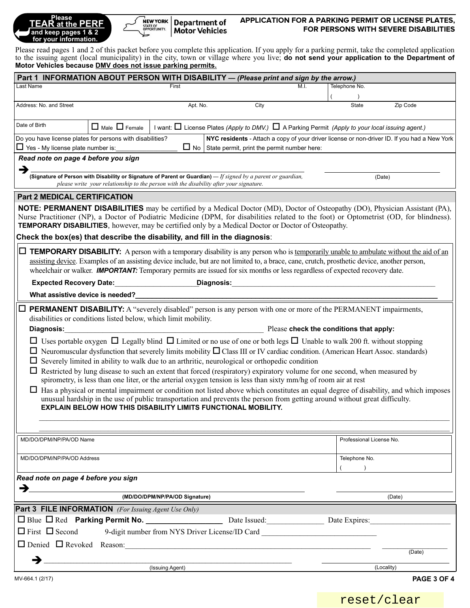| <b>Please</b><br><b>TEAR</b> at the PERF      |  |
|-----------------------------------------------|--|
| and keep pages 1 & 2<br>for your information. |  |



### **APPLICATION FOR A PARKING PERMIT OR LICENSE PLATES, FOR PERSONS WITH SEVERE DISABILITIES**

Please read pages 1 and 2 of this packet before you complete this application. If you apply for a parking permit, take the completed application to the issuing agent (local municipality) in the city, town or village where you live; **do not send your application to the Department of Motor Vehicles because DMV does not issue parking permits.**

| Part 1 INFORMATION ABOUT PERSON WITH DISABILITY - (Please print and sign by the arrow.)                                                                                                                                                                                                                                                                                                                            |                                                                                                                                                   |                                                                                              |                                                                                                                                                                                                                                                                                                                                                                                                                                  |                                |             |  |  |  |
|--------------------------------------------------------------------------------------------------------------------------------------------------------------------------------------------------------------------------------------------------------------------------------------------------------------------------------------------------------------------------------------------------------------------|---------------------------------------------------------------------------------------------------------------------------------------------------|----------------------------------------------------------------------------------------------|----------------------------------------------------------------------------------------------------------------------------------------------------------------------------------------------------------------------------------------------------------------------------------------------------------------------------------------------------------------------------------------------------------------------------------|--------------------------------|-------------|--|--|--|
| Last Name                                                                                                                                                                                                                                                                                                                                                                                                          |                                                                                                                                                   | First                                                                                        |                                                                                                                                                                                                                                                                                                                                                                                                                                  | M.I.<br>Telephone No.          |             |  |  |  |
| Address: No. and Street                                                                                                                                                                                                                                                                                                                                                                                            |                                                                                                                                                   | Apt. No.<br>City                                                                             |                                                                                                                                                                                                                                                                                                                                                                                                                                  | <b>State</b>                   | Zip Code    |  |  |  |
|                                                                                                                                                                                                                                                                                                                                                                                                                    |                                                                                                                                                   |                                                                                              |                                                                                                                                                                                                                                                                                                                                                                                                                                  |                                |             |  |  |  |
| Date of Birth                                                                                                                                                                                                                                                                                                                                                                                                      | $\Box$ Male $\Box$ Female<br>I want: $\Box$ License Plates (Apply to DMV.) $\Box$ A Parking Permit (Apply to your local issuing agent.)           |                                                                                              |                                                                                                                                                                                                                                                                                                                                                                                                                                  |                                |             |  |  |  |
| Do you have license plates for persons with disabilities?                                                                                                                                                                                                                                                                                                                                                          |                                                                                                                                                   | NYC residents - Attach a copy of your driver license or non-driver ID. If you had a New York |                                                                                                                                                                                                                                                                                                                                                                                                                                  |                                |             |  |  |  |
| $\Box$ Yes - My license plate number is:                                                                                                                                                                                                                                                                                                                                                                           |                                                                                                                                                   |                                                                                              | $\Box$ No State permit, print the permit number here:                                                                                                                                                                                                                                                                                                                                                                            |                                |             |  |  |  |
| Read note on page 4 before you sign<br>→                                                                                                                                                                                                                                                                                                                                                                           |                                                                                                                                                   |                                                                                              |                                                                                                                                                                                                                                                                                                                                                                                                                                  |                                |             |  |  |  |
| (Signature of Person with Disability or Signature of Parent or Guardian) $-If$ signed by a parent or guardian,<br>(Date)<br>please write your relationship to the person with the disability after your signature.                                                                                                                                                                                                 |                                                                                                                                                   |                                                                                              |                                                                                                                                                                                                                                                                                                                                                                                                                                  |                                |             |  |  |  |
| <b>Part 2 MEDICAL CERTIFICATION</b>                                                                                                                                                                                                                                                                                                                                                                                |                                                                                                                                                   |                                                                                              |                                                                                                                                                                                                                                                                                                                                                                                                                                  |                                |             |  |  |  |
| <b>NOTE: PERMANENT DISABILITIES</b> may be certified by a Medical Doctor (MD), Doctor of Osteopathy (DO), Physician Assistant (PA),<br>Nurse Practitioner (NP), a Doctor of Podiatric Medicine (DPM, for disabilities related to the foot) or Optometrist (OD, for blindness).<br><b>TEMPORARY DISABILITIES</b> , however, may be certified only by a Medical Doctor or Doctor of Osteopathy.                      |                                                                                                                                                   |                                                                                              |                                                                                                                                                                                                                                                                                                                                                                                                                                  |                                |             |  |  |  |
| Check the box(es) that describe the disability, and fill in the diagnosis:                                                                                                                                                                                                                                                                                                                                         |                                                                                                                                                   |                                                                                              |                                                                                                                                                                                                                                                                                                                                                                                                                                  |                                |             |  |  |  |
|                                                                                                                                                                                                                                                                                                                                                                                                                    |                                                                                                                                                   |                                                                                              | <b>TEMPORARY DISABILITY:</b> A person with a temporary disability is any person who is temporarily unable to ambulate without the aid of an<br>assisting device. Examples of an assisting device include, but are not limited to, a brace, cane, crutch, prosthetic device, another person,<br>wheelchair or walker. <b>IMPORTANT:</b> Temporary permits are issued for six months or less regardless of expected recovery date. |                                |             |  |  |  |
|                                                                                                                                                                                                                                                                                                                                                                                                                    | Diagnosis: New York Street, New York Street, New York Street, New York Street, New York Street, New York Street<br><b>Expected Recovery Date:</b> |                                                                                              |                                                                                                                                                                                                                                                                                                                                                                                                                                  |                                |             |  |  |  |
| What assistive device is needed?                                                                                                                                                                                                                                                                                                                                                                                   |                                                                                                                                                   |                                                                                              |                                                                                                                                                                                                                                                                                                                                                                                                                                  |                                |             |  |  |  |
| <b>PERMANENT DISABILITY:</b> A "severely disabled" person is any person with one or more of the PERMANENT impairments,<br>disabilities or conditions listed below, which limit mobility.<br><b>Example 20 Years Check the conditions that apply:</b><br>Diagnosis:<br>$\Box$ Uses portable oxygen $\Box$ Legally blind $\Box$ Limited or no use of one or both legs $\Box$ Unable to walk 200 ft. without stopping |                                                                                                                                                   |                                                                                              |                                                                                                                                                                                                                                                                                                                                                                                                                                  |                                |             |  |  |  |
| $\Box$ Neuromuscular dysfunction that severely limits mobility $\Box$ Class III or IV cardiac condition. (American Heart Assoc. standards)<br>$\Box$ Severely limited in ability to walk due to an arthritic, neurological or orthopedic condition<br>$\Box$ Restricted by lung disease to such an extent that forced (respiratory) expiratory volume for one second, when measured by                             |                                                                                                                                                   |                                                                                              |                                                                                                                                                                                                                                                                                                                                                                                                                                  |                                |             |  |  |  |
|                                                                                                                                                                                                                                                                                                                                                                                                                    |                                                                                                                                                   |                                                                                              | spirometry, is less than one liter, or the arterial oxygen tension is less than sixty mm/hg of room air at rest                                                                                                                                                                                                                                                                                                                  |                                |             |  |  |  |
|                                                                                                                                                                                                                                                                                                                                                                                                                    |                                                                                                                                                   |                                                                                              | Has a physical or mental impairment or condition not listed above which constitutes an equal degree of disability, and which imposes<br>unusual hardship in the use of public transportation and prevents the person from getting around without great difficulty.<br><b>EXPLAIN BELOW HOW THIS DISABILITY LIMITS FUNCTIONAL MOBILITY.</b>                                                                                       |                                |             |  |  |  |
|                                                                                                                                                                                                                                                                                                                                                                                                                    |                                                                                                                                                   |                                                                                              |                                                                                                                                                                                                                                                                                                                                                                                                                                  |                                |             |  |  |  |
| MD/DO/DPM/NP/PA/OD Name                                                                                                                                                                                                                                                                                                                                                                                            |                                                                                                                                                   |                                                                                              |                                                                                                                                                                                                                                                                                                                                                                                                                                  | Professional License No.       |             |  |  |  |
| MD/DO/DPM/NP/PA/OD Address                                                                                                                                                                                                                                                                                                                                                                                         |                                                                                                                                                   |                                                                                              |                                                                                                                                                                                                                                                                                                                                                                                                                                  | Telephone No.<br>$\rightarrow$ |             |  |  |  |
| Read note on page 4 before you sign                                                                                                                                                                                                                                                                                                                                                                                |                                                                                                                                                   |                                                                                              |                                                                                                                                                                                                                                                                                                                                                                                                                                  |                                |             |  |  |  |
| $\rightarrow$                                                                                                                                                                                                                                                                                                                                                                                                      |                                                                                                                                                   |                                                                                              |                                                                                                                                                                                                                                                                                                                                                                                                                                  |                                |             |  |  |  |
|                                                                                                                                                                                                                                                                                                                                                                                                                    |                                                                                                                                                   | (MD/DO/DPM/NP/PA/OD Signature)                                                               |                                                                                                                                                                                                                                                                                                                                                                                                                                  |                                | (Date)      |  |  |  |
| <b>Part 3 FILE INFORMATION</b> (For Issuing Agent Use Only)                                                                                                                                                                                                                                                                                                                                                        |                                                                                                                                                   |                                                                                              |                                                                                                                                                                                                                                                                                                                                                                                                                                  |                                |             |  |  |  |
|                                                                                                                                                                                                                                                                                                                                                                                                                    |                                                                                                                                                   |                                                                                              |                                                                                                                                                                                                                                                                                                                                                                                                                                  |                                |             |  |  |  |
| $\Box$ First $\Box$ Second                                                                                                                                                                                                                                                                                                                                                                                         |                                                                                                                                                   |                                                                                              | 9-digit number from NYS Driver License/ID Card                                                                                                                                                                                                                                                                                                                                                                                   |                                |             |  |  |  |
|                                                                                                                                                                                                                                                                                                                                                                                                                    |                                                                                                                                                   |                                                                                              |                                                                                                                                                                                                                                                                                                                                                                                                                                  |                                | (Date)      |  |  |  |
| →                                                                                                                                                                                                                                                                                                                                                                                                                  |                                                                                                                                                   | (Issuing Agent)                                                                              |                                                                                                                                                                                                                                                                                                                                                                                                                                  |                                | (Locality)  |  |  |  |
| MV-664.1 (2/17)                                                                                                                                                                                                                                                                                                                                                                                                    |                                                                                                                                                   |                                                                                              |                                                                                                                                                                                                                                                                                                                                                                                                                                  |                                | PAGE 3 OF 4 |  |  |  |